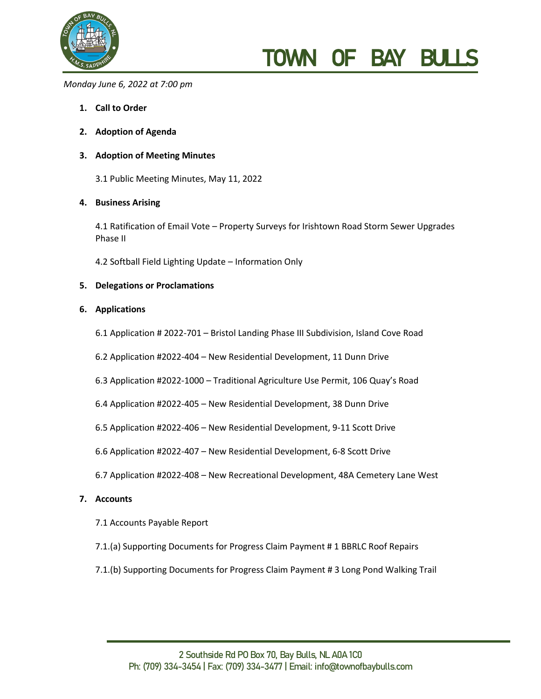

# TOWN OF BAY BUL

*Monday June 6, 2022 at 7:00 pm*

- **1. Call to Order**
- **2. Adoption of Agenda**

### **3. Adoption of Meeting Minutes**

3.1 Public Meeting Minutes, May 11, 2022

### **4. Business Arising**

4.1 Ratification of Email Vote – Property Surveys for Irishtown Road Storm Sewer Upgrades Phase II

4.2 Softball Field Lighting Update – Information Only

#### **5. Delegations or Proclamations**

#### **6. Applications**

- 6.1 Application # 2022-701 Bristol Landing Phase III Subdivision, Island Cove Road
- 6.2 Application #2022-404 New Residential Development, 11 Dunn Drive
- 6.3 Application #2022-1000 Traditional Agriculture Use Permit, 106 Quay's Road
- 6.4 Application #2022-405 New Residential Development, 38 Dunn Drive
- 6.5 Application #2022-406 New Residential Development, 9-11 Scott Drive
- 6.6 Application #2022-407 New Residential Development, 6-8 Scott Drive
- 6.7 Application #2022-408 New Recreational Development, 48A Cemetery Lane West

#### **7. Accounts**

- 7.1 Accounts Payable Report
- 7.1.(a) Supporting Documents for Progress Claim Payment # 1 BBRLC Roof Repairs
- 7.1.(b) Supporting Documents for Progress Claim Payment # 3 Long Pond Walking Trail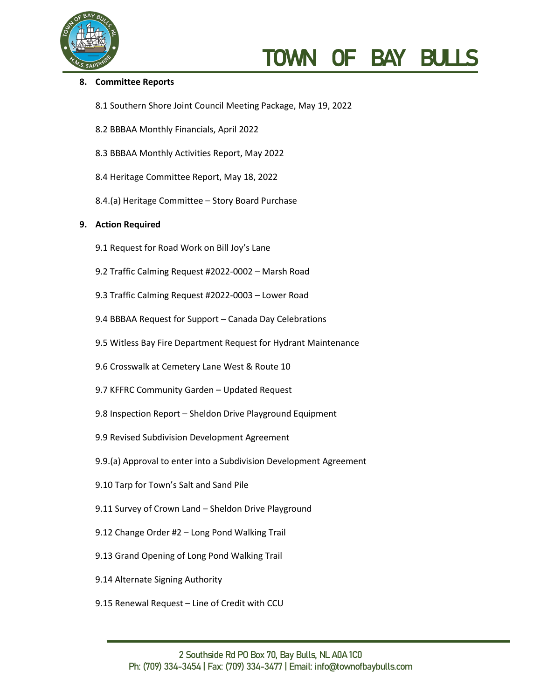

# TOWN OF BAY BU

## **8. Committee Reports**

- 8.1 Southern Shore Joint Council Meeting Package, May 19, 2022
- 8.2 BBBAA Monthly Financials, April 2022
- 8.3 BBBAA Monthly Activities Report, May 2022
- 8.4 Heritage Committee Report, May 18, 2022
- 8.4.(a) Heritage Committee Story Board Purchase

### **9. Action Required**

- 9.1 Request for Road Work on Bill Joy's Lane
- 9.2 Traffic Calming Request #2022-0002 Marsh Road
- 9.3 Traffic Calming Request #2022-0003 Lower Road
- 9.4 BBBAA Request for Support Canada Day Celebrations
- 9.5 Witless Bay Fire Department Request for Hydrant Maintenance
- 9.6 Crosswalk at Cemetery Lane West & Route 10
- 9.7 KFFRC Community Garden Updated Request
- 9.8 Inspection Report Sheldon Drive Playground Equipment
- 9.9 Revised Subdivision Development Agreement
- 9.9.(a) Approval to enter into a Subdivision Development Agreement
- 9.10 Tarp for Town's Salt and Sand Pile
- 9.11 Survey of Crown Land Sheldon Drive Playground
- 9.12 Change Order #2 Long Pond Walking Trail
- 9.13 Grand Opening of Long Pond Walking Trail
- 9.14 Alternate Signing Authority
- 9.15 Renewal Request Line of Credit with CCU